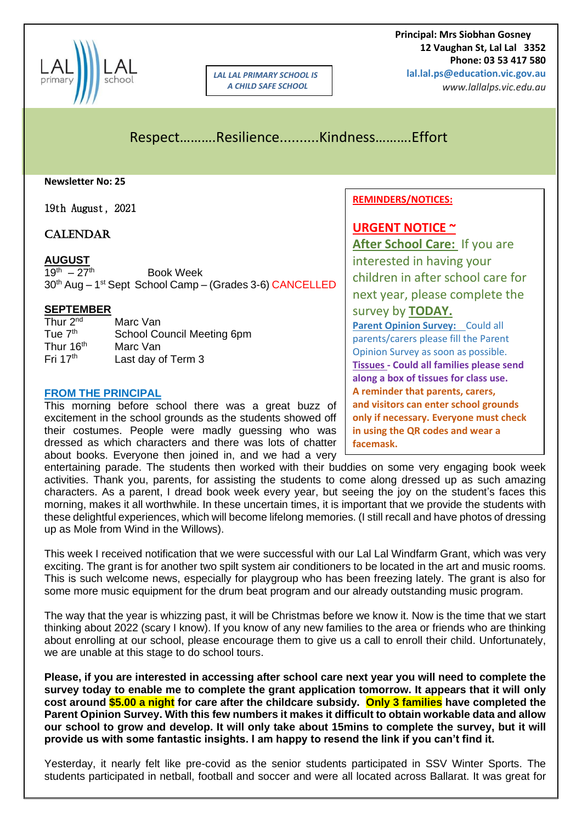

*LAL LAL PRIMARY SCHOOL IS A CHILD SAFE SCHOOL*

 **Principal: Mrs Siobhan Gosney 12 Vaughan St, Lal Lal 3352 Phone: 03 53 417 580 lal.lal.ps@education.vic.gov.au**

*www.lallalps.vic.edu.au* 

# Respect……….Resilience..........Kindness……….Effort

**Newsletter No: 25**

19th August, 2021

### **CALENDAR**

#### **AUGUST**

 $19^{th} - 27^{th}$  Book Week 30<sup>th</sup> Aug – 1<sup>st</sup> Sept School Camp – (Grades 3-6) CANCELLED

#### **SEPTEMBER**

| Thur 2 <sup>nd</sup>  | Marc Van                          |
|-----------------------|-----------------------------------|
| Tue $7th$             | <b>School Council Meeting 6pm</b> |
| Thur 16 <sup>th</sup> | Marc Van                          |
| Fri 17 <sup>th</sup>  | Last day of Term 3                |

#### **FROM THE PRINCIPAL**

This morning before school there was a great buzz of excitement in the school grounds as the students showed off their costumes. People were madly guessing who was dressed as which characters and there was lots of chatter about books. Everyone then joined in, and we had a very

**REMINDERS/NOTICES:** 

## **URGENT NOTICE ~**

**After School Care:** If you are interested in having your children in after school care for next year, please complete the survey by **TODAY. Parent Opinion Survey:** Could all parents/carers please fill the Parent Opinion Survey as soon as possible. **Tissues - Could all families please send along a box of tissues for class use. A reminder that parents, carers, and visitors can enter school grounds only if necessary. Everyone must check in using the QR codes and wear a facemask.**

entertaining parade. The students then worked with their buddies on some very engaging book week activities. Thank you, parents, for assisting the students to come along dressed up as such amazing characters. As a parent, I dread book week every year, but seeing the joy on the student's faces this morning, makes it all worthwhile. In these uncertain times, it is important that we provide the students with these delightful experiences, which will become lifelong memories. (I still recall and have photos of dressing up as Mole from Wind in the Willows).

This week I received notification that we were successful with our Lal Lal Windfarm Grant, which was very exciting. The grant is for another two spilt system air conditioners to be located in the art and music rooms. This is such welcome news, especially for playgroup who has been freezing lately. The grant is also for some more music equipment for the drum beat program and our already outstanding music program.

The way that the year is whizzing past, it will be Christmas before we know it. Now is the time that we start thinking about 2022 (scary I know). If you know of any new families to the area or friends who are thinking about enrolling at our school, please encourage them to give us a call to enroll their child. Unfortunately, we are unable at this stage to do school tours.

**Please, if you are interested in accessing after school care next year you will need to complete the survey today to enable me to complete the grant application tomorrow. It appears that it will only cost around \$5.00 a night for care after the childcare subsidy. Only 3 families have completed the Parent Opinion Survey. With this few numbers it makes it difficult to obtain workable data and allow our school to grow and develop. It will only take about 15mins to complete the survey, but it will provide us with some fantastic insights. I am happy to resend the link if you can't find it.** 

Yesterday, it nearly felt like pre-covid as the senior students participated in SSV Winter Sports. The students participated in netball, football and soccer and were all located across Ballarat. It was great for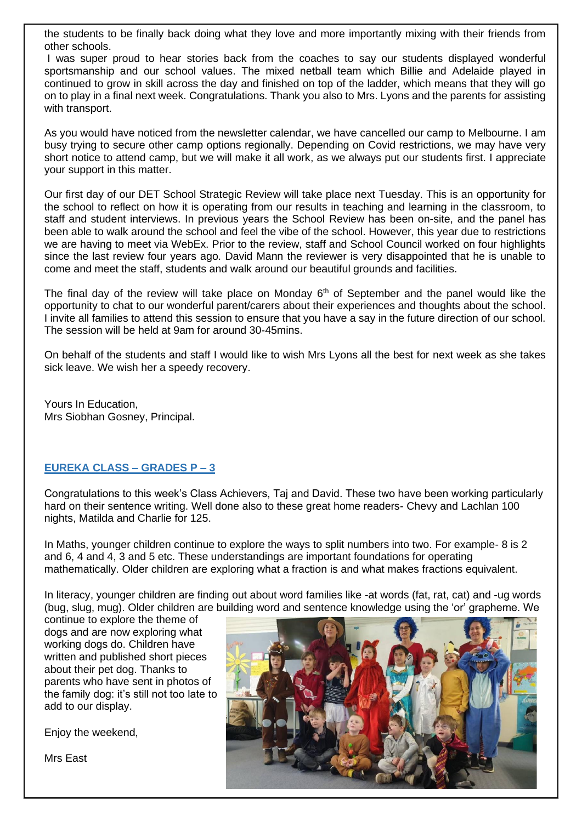the students to be finally back doing what they love and more importantly mixing with their friends from other schools.

I was super proud to hear stories back from the coaches to say our students displayed wonderful sportsmanship and our school values. The mixed netball team which Billie and Adelaide played in continued to grow in skill across the day and finished on top of the ladder, which means that they will go on to play in a final next week. Congratulations. Thank you also to Mrs. Lyons and the parents for assisting with transport.

As you would have noticed from the newsletter calendar, we have cancelled our camp to Melbourne. I am busy trying to secure other camp options regionally. Depending on Covid restrictions, we may have very short notice to attend camp, but we will make it all work, as we always put our students first. I appreciate your support in this matter.

Our first day of our DET School Strategic Review will take place next Tuesday. This is an opportunity for the school to reflect on how it is operating from our results in teaching and learning in the classroom, to staff and student interviews. In previous years the School Review has been on-site, and the panel has been able to walk around the school and feel the vibe of the school. However, this year due to restrictions we are having to meet via WebEx. Prior to the review, staff and School Council worked on four highlights since the last review four years ago. David Mann the reviewer is very disappointed that he is unable to come and meet the staff, students and walk around our beautiful grounds and facilities.

The final day of the review will take place on Monday  $6<sup>th</sup>$  of September and the panel would like the opportunity to chat to our wonderful parent/carers about their experiences and thoughts about the school. I invite all families to attend this session to ensure that you have a say in the future direction of our school. The session will be held at 9am for around 30-45mins.

On behalf of the students and staff I would like to wish Mrs Lyons all the best for next week as she takes sick leave. We wish her a speedy recovery.

Yours In Education, Mrs Siobhan Gosney, Principal.

#### **EUREKA CLASS – GRADES P – 3**

Congratulations to this week's Class Achievers, Taj and David. These two have been working particularly hard on their sentence writing. Well done also to these great home readers- Chevy and Lachlan 100 nights, Matilda and Charlie for 125.

In Maths, younger children continue to explore the ways to split numbers into two. For example- 8 is 2 and 6, 4 and 4, 3 and 5 etc. These understandings are important foundations for operating mathematically. Older children are exploring what a fraction is and what makes fractions equivalent.

In literacy, younger children are finding out about word families like -at words (fat, rat, cat) and -ug words (bug, slug, mug). Older children are building word and sentence knowledge using the 'or' grapheme. We

continue to explore the theme of dogs and are now exploring what working dogs do. Children have written and published short pieces about their pet dog. Thanks to parents who have sent in photos of the family dog: it's still not too late to add to our display.

Enjoy the weekend,

Mrs East

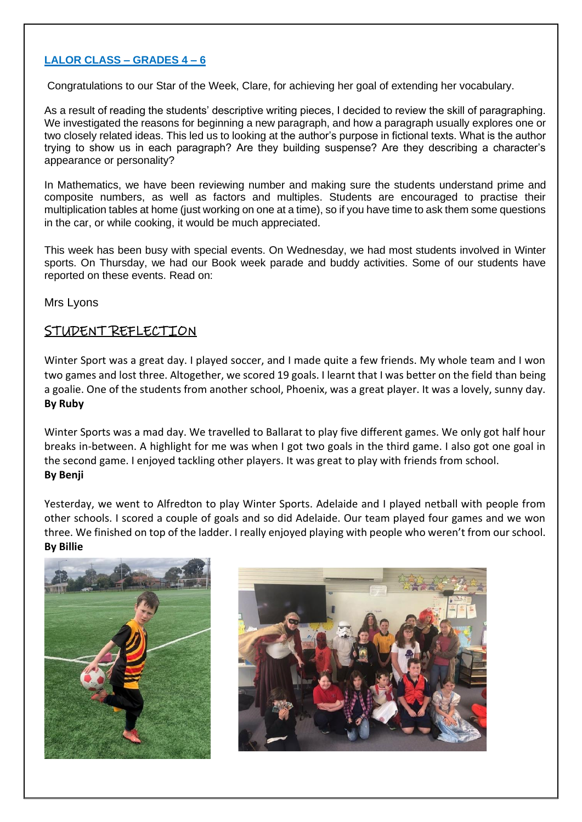# **LALOR CLASS – GRADES 4 – 6**

Congratulations to our Star of the Week, Clare, for achieving her goal of extending her vocabulary.

As a result of reading the students' descriptive writing pieces, I decided to review the skill of paragraphing. We investigated the reasons for beginning a new paragraph, and how a paragraph usually explores one or two closely related ideas. This led us to looking at the author's purpose in fictional texts. What is the author trying to show us in each paragraph? Are they building suspense? Are they describing a character's appearance or personality?

In Mathematics, we have been reviewing number and making sure the students understand prime and composite numbers, as well as factors and multiples. Students are encouraged to practise their multiplication tables at home (just working on one at a time), so if you have time to ask them some questions in the car, or while cooking, it would be much appreciated.

This week has been busy with special events. On Wednesday, we had most students involved in Winter sports. On Thursday, we had our Book week parade and buddy activities. Some of our students have reported on these events. Read on:

Mrs Lyons

# STUDENT REFLECTION

Winter Sport was a great day. I played soccer, and I made quite a few friends. My whole team and I won two games and lost three. Altogether, we scored 19 goals. I learnt that I was better on the field than being a goalie. One of the students from another school, Phoenix, was a great player. It was a lovely, sunny day. **By Ruby**

Winter Sports was a mad day. We travelled to Ballarat to play five different games. We only got half hour breaks in-between. A highlight for me was when I got two goals in the third game. I also got one goal in the second game. I enjoyed tackling other players. It was great to play with friends from school. **By Benji**

Yesterday, we went to Alfredton to play Winter Sports. Adelaide and I played netball with people from other schools. I scored a couple of goals and so did Adelaide. Our team played four games and we won three. We finished on top of the ladder. I really enjoyed playing with people who weren't from our school. **By Billie**



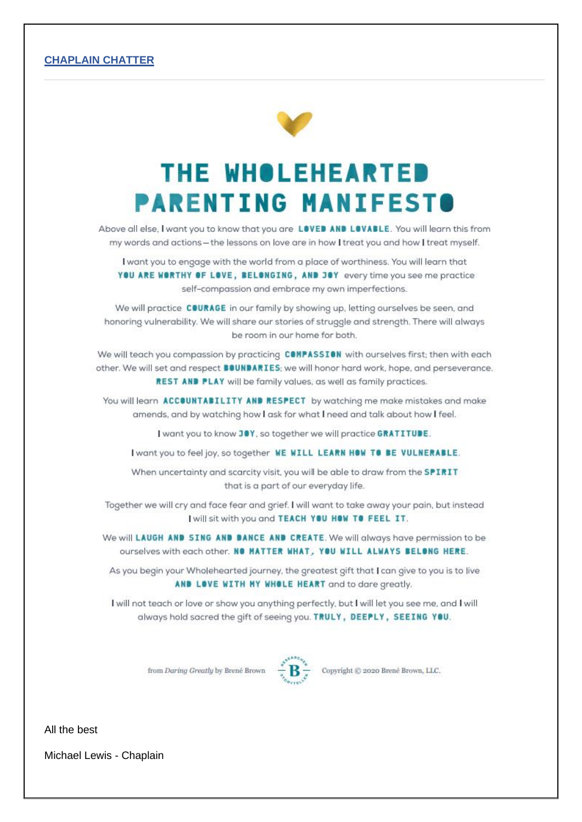#### **CHAPLAIN CHATTER**



# THE WHOLEHEARTED **PARENTING MANIFESTO**

Above all else, I want you to know that you are LOVED AND LOVABLE. You will learn this from my words and actions-the lessons on love are in how I treat you and how I treat myself.

I want you to engage with the world from a place of worthiness. You will learn that YOU ARE WORTHY OF LOVE, BELONGING, AND JOY every time you see me practice self-compassion and embrace my own imperfections.

We will practice COURAGE in our family by showing up, letting ourselves be seen, and honoring vulnerability. We will share our stories of struggle and strength. There will always be room in our home for both.

We will teach you compassion by practicing CONPASSION with ourselves first; then with each other. We will set and respect **BOUNDARIES**; we will honor hard work, hope, and perseverance. **REST AND PLAY** will be family values, as well as family practices.

You will learn ACCOUNTABILITY AND RESPECT by watching me make mistakes and make amends, and by watching how I ask for what I need and talk about how I feel.

I want you to know JOY, so together we will practice GRATITUDE.

I want you to feel joy, so together WE WILL LEARN HOW TO BE VULNERABLE.

When uncertainty and scarcity visit, you will be able to draw from the SPIRIT that is a part of our everyday life.

Together we will cry and face fear and grief. I will want to take away your pain, but instead I will sit with you and TEACH YOU HOW TO FEEL IT.

We will LAUGH AND SING AND DANCE AND CREATE. We will always have permission to be ourselves with each other. NO HATTER WHAT, YOU WILL ALWAYS BELONG HERE.

As you begin your Wholehearted journey, the greatest gift that I can give to you is to live AND LOVE WITH MY WHOLE HEART and to dare greatly.

I will not teach or love or show you anything perfectly, but I will let you see me, and I will always hold sacred the gift of seeing you. TRULY, DEEPLY, SEEING YOU.

from Daring Greatly by Brené Brown



Copyright © 2020 Brené Brown, LLC.

All the best

Michael Lewis - Chaplain